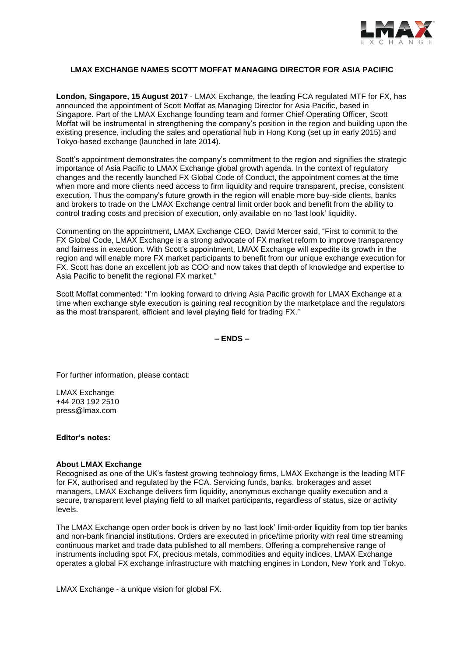

# **LMAX EXCHANGE NAMES SCOTT MOFFAT MANAGING DIRECTOR FOR ASIA PACIFIC**

**London, Singapore, 15 August 2017** - LMAX Exchange, the leading FCA regulated MTF for FX, has announced the appointment of Scott Moffat as Managing Director for Asia Pacific, based in Singapore. Part of the LMAX Exchange founding team and former Chief Operating Officer, Scott Moffat will be instrumental in strengthening the company's position in the region and building upon the existing presence, including the sales and operational hub in Hong Kong (set up in early 2015) and Tokyo-based exchange (launched in late 2014).

Scott's appointment demonstrates the company's commitment to the region and signifies the strategic importance of Asia Pacific to LMAX Exchange global growth agenda. In the context of regulatory changes and the recently launched FX Global Code of Conduct, the appointment comes at the time when more and more clients need access to firm liquidity and require transparent, precise, consistent execution. Thus the company's future growth in the region will enable more buy-side clients, banks and brokers to trade on the LMAX Exchange central limit order book and benefit from the ability to control trading costs and precision of execution, only available on no 'last look' liquidity.

Commenting on the appointment, LMAX Exchange CEO, David Mercer said, "First to commit to the FX Global Code, LMAX Exchange is a strong advocate of FX market reform to improve transparency and fairness in execution. With Scott's appointment, LMAX Exchange will expedite its growth in the region and will enable more FX market participants to benefit from our unique exchange execution for FX. Scott has done an excellent job as COO and now takes that depth of knowledge and expertise to Asia Pacific to benefit the regional FX market."

Scott Moffat commented: "I'm looking forward to driving Asia Pacific growth for LMAX Exchange at a time when exchange style execution is gaining real recognition by the marketplace and the regulators as the most transparent, efficient and level playing field for trading FX."

**– ENDS –**

For further information, please contact:

LMAX Exchange +44 203 192 2510 press@lmax.com

### **Editor's notes:**

### **About LMAX Exchange**

Recognised as one of the UK's fastest growing technology firms, LMAX Exchange is the leading MTF for FX, authorised and regulated by the FCA. Servicing funds, banks, brokerages and asset managers, LMAX Exchange delivers firm liquidity, anonymous exchange quality execution and a secure, transparent level playing field to all market participants, regardless of status, size or activity levels.

The LMAX Exchange open order book is driven by no 'last look' limit-order liquidity from top tier banks and non-bank financial institutions. Orders are executed in price/time priority with real time streaming continuous market and trade data published to all members. Offering a comprehensive range of instruments including spot FX, precious metals, commodities and equity indices, LMAX Exchange operates a global FX exchange infrastructure with matching engines in London, New York and Tokyo.

LMAX Exchange - a unique vision for global FX.